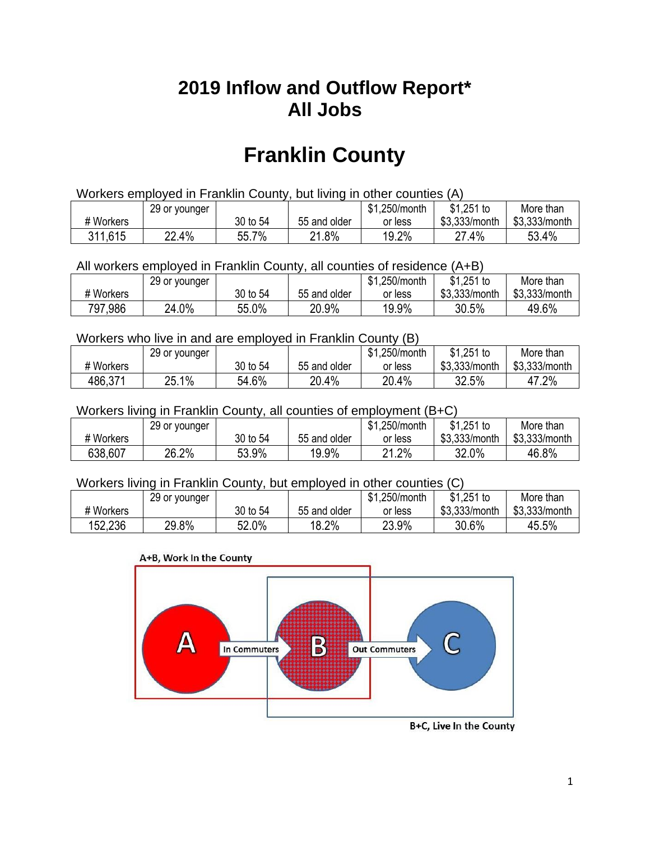## **2019 Inflow and Outflow Report\* All Jobs**

# **Franklin County**

| Workers employed in Franklin County, but living in other counties (A) |                                                           |          |              |         |               |               |  |  |  |
|-----------------------------------------------------------------------|-----------------------------------------------------------|----------|--------------|---------|---------------|---------------|--|--|--|
|                                                                       | \$1.251 to<br>\$1.250/month<br>More than<br>29 or younger |          |              |         |               |               |  |  |  |
| # Workers                                                             |                                                           | 30 to 54 | 55 and older | or less | \$3.333/month | \$3,333/month |  |  |  |
| 311,615                                                               | 22.4%                                                     | 55.7%    | 21.8%        | 19.2%   | 27.4%         | 53.4%         |  |  |  |

All workers employed in Franklin County, all counties of residence (A+B)

|           | 29 or younger |          |              | \$1,250/month | $$1,251$ to   | More than     |
|-----------|---------------|----------|--------------|---------------|---------------|---------------|
| # Workers |               | 30 to 54 | 55 and older | or less       | \$3,333/month | \$3,333/month |
| 797,986   | 24.0%         | 55.0%    | 20.9%        | 19.9%         | 30.5%         | 49.6%         |

#### Workers who live in and are employed in Franklin County (B)

|           | 29 or younger |          |              | \$1,250/month | $$1,251$ to   | More than     |
|-----------|---------------|----------|--------------|---------------|---------------|---------------|
| # Workers |               | 30 to 54 | 55 and older | or less       | \$3,333/month | \$3,333/month |
| 486,371   | 25.1%         | 54.6%    | 20.4%        | 20.4%         | 32.5%         | 47.2%         |

#### Workers living in Franklin County, all counties of employment (B+C)

|           | 29 or younger |          |              | \$1,250/month | \$1,251 to    | More than     |
|-----------|---------------|----------|--------------|---------------|---------------|---------------|
| # Workers |               | 30 to 54 | 55 and older | or less       | \$3,333/month | \$3,333/month |
| 638,607   | 26.2%         | 53.9%    | 19.9%        | 21.2%         | 32.0%         | 46.8%         |

#### Workers living in Franklin County, but employed in other counties (C)

|           | 29 or younger |              |              | \$1,250/month | $$1,251$ to   | More than     |
|-----------|---------------|--------------|--------------|---------------|---------------|---------------|
| # Workers |               | 30 to 54     | 55 and older | or less       | \$3,333/month | \$3,333/month |
| 152,236   | 29.8%         | 52.0%<br>Γn. | 18.2%        | 23.9%         | 30.6%         | 45.5%         |

#### A+B, Work In the County